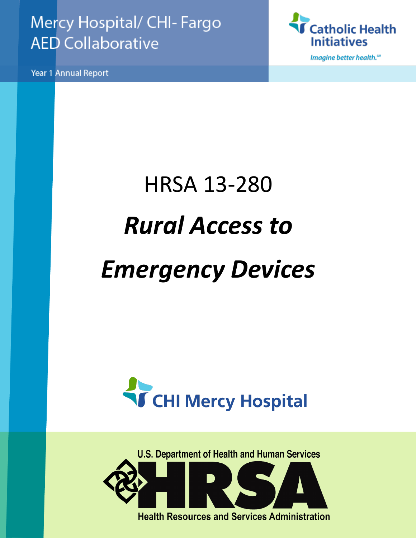### Mercy Hospital/ CHI- Fargo **AED Collaborative**

Year 1 Annual Report



Imagine better health.<sup>50</sup>

# HRSA 13-280 *Rural Access to Emergency Devices*



**U.S. Department of Health and Human Services Health Resources and Services Administration**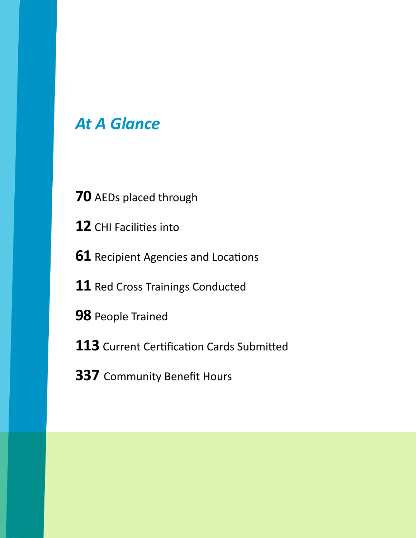### *At A Glance*

- AEDs placed through
- CHI Facilities into
- Recipient Agencies and Locations
- Red Cross Trainings Conducted
- People Trained
- Current Certification Cards Submitted
- Community Benefit Hours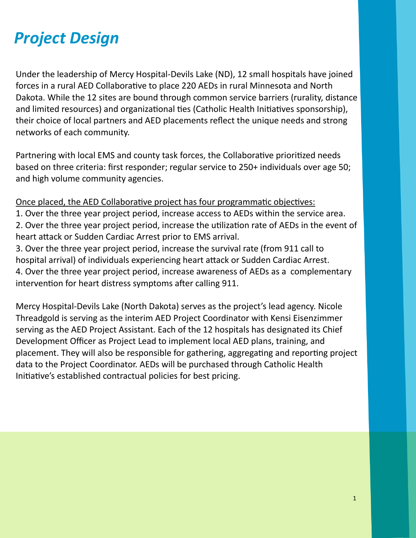### *Project Design*

Under the leadership of Mercy Hospital-Devils Lake (ND), 12 small hospitals have joined forces in a rural AED Collaborative to place 220 AEDs in rural Minnesota and North Dakota. While the 12 sites are bound through common service barriers (rurality, distance and limited resources) and organizational ties (Catholic Health Initiatives sponsorship), their choice of local partners and AED placements reflect the unique needs and strong networks of each community.

Partnering with local EMS and county task forces, the Collaborative prioritized needs based on three criteria: first responder; regular service to 250+ individuals over age 50; and high volume community agencies.

Once placed, the AED Collaborative project has four programmatic objectives: 1. Over the three year project period, increase access to AEDs within the service area. 2. Over the three year project period, increase the utilization rate of AEDs in the event of

heart attack or Sudden Cardiac Arrest prior to EMS arrival.

3. Over the three year project period, increase the survival rate (from 911 call to hospital arrival) of individuals experiencing heart attack or Sudden Cardiac Arrest. 4. Over the three year project period, increase awareness of AEDs as a complementary intervention for heart distress symptoms after calling 911.

Mercy Hospital-Devils Lake (North Dakota) serves as the project's lead agency. Nicole Threadgold is serving as the interim AED Project Coordinator with Kensi Eisenzimmer serving as the AED Project Assistant. Each of the 12 hospitals has designated its Chief Development Officer as Project Lead to implement local AED plans, training, and placement. They will also be responsible for gathering, aggregating and reporting project data to the Project Coordinator. AEDs will be purchased through Catholic Health Initiative's established contractual policies for best pricing.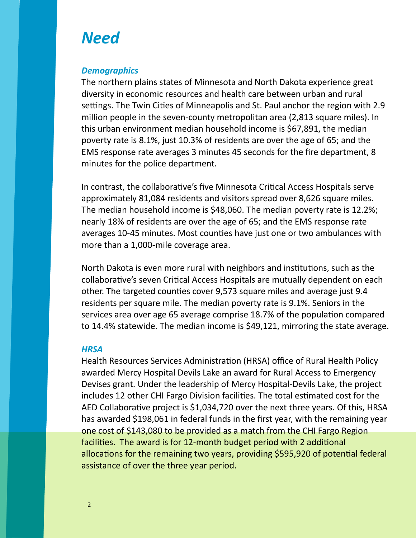### *Need*

#### *Demographics*

The northern plains states of Minnesota and North Dakota experience great diversity in economic resources and health care between urban and rural settings. The Twin Cities of Minneapolis and St. Paul anchor the region with 2.9 million people in the seven-county metropolitan area (2,813 square miles). In this urban environment median household income is \$67,891, the median poverty rate is 8.1%, just 10.3% of residents are over the age of 65; and the EMS response rate averages 3 minutes 45 seconds for the fire department, 8 minutes for the police department.

In contrast, the collaborative's five Minnesota Critical Access Hospitals serve approximately 81,084 residents and visitors spread over 8,626 square miles. The median household income is \$48,060. The median poverty rate is 12.2%; nearly 18% of residents are over the age of 65; and the EMS response rate averages 10-45 minutes. Most counties have just one or two ambulances with more than a 1,000-mile coverage area.

North Dakota is even more rural with neighbors and institutions, such as the collaborative's seven Critical Access Hospitals are mutually dependent on each other. The targeted counties cover 9,573 square miles and average just 9.4 residents per square mile. The median poverty rate is 9.1%. Seniors in the services area over age 65 average comprise 18.7% of the population compared to 14.4% statewide. The median income is \$49,121, mirroring the state average.

#### *HRSA*

Health Resources Services Administration (HRSA) office of Rural Health Policy awarded Mercy Hospital Devils Lake an award for Rural Access to Emergency Devises grant. Under the leadership of Mercy Hospital-Devils Lake, the project includes 12 other CHI Fargo Division facilities. The total estimated cost for the AED Collaborative project is \$1,034,720 over the next three years. Of this, HRSA has awarded \$198,061 in federal funds in the first year, with the remaining year one cost of \$143,080 to be provided as a match from the CHI Fargo Region facilities. The award is for 12-month budget period with 2 additional allocations for the remaining two years, providing \$595,920 of potential federal assistance of over the three year period.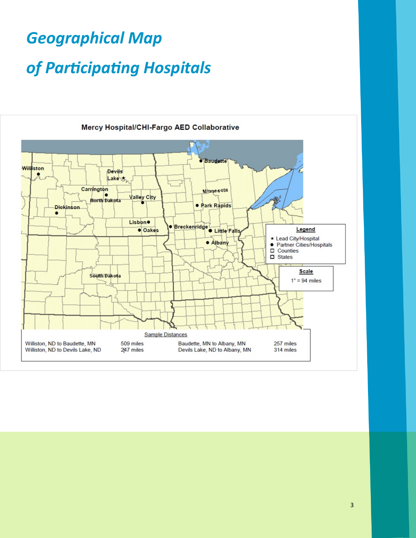# *Geographical Map of Participating Hospitals*



#### Mercy Hospital/CHI-Fargo AED Collaborative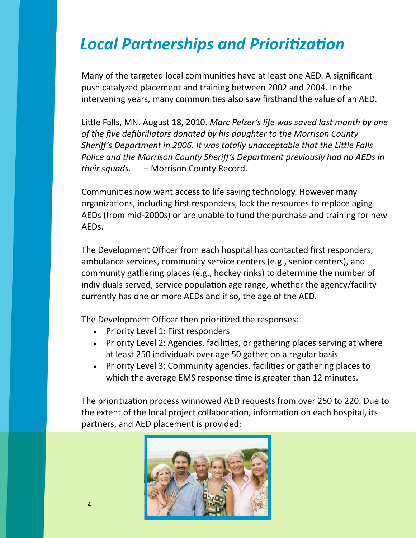### *Local Partnerships and Prioritization*

Many of the targeted local communities have at least one AED. A significant push catalyzed placement and training between 2002 and 2004. In the intervening years, many communities also saw firsthand the value of an AED.

Little Falls, MN. August 18, 2010. *Marc Pelzer's life was saved last month by one of the five defibrillators donated by his daughter to the Morrison County Sheriff's Department in 2006. It was totally unacceptable that the Little Falls Police and the Morrison County Sheriff's Department previously had no AEDs in their squads.* – Morrison County Record.

Communities now want access to life saving technology. However many organizations, including first responders, lack the resources to replace aging AEDs (from mid-2000s) or are unable to fund the purchase and training for new AEDs.

The Development Officer from each hospital has contacted first responders, ambulance services, community service centers (e.g., senior centers), and community gathering places (e.g., hockey rinks) to determine the number of individuals served, service population age range, whether the agency/facility currently has one or more AEDs and if so, the age of the AED.

The Development Officer then prioritized the responses:

- Priority Level 1: First responders
- Priority Level 2: Agencies, facilities, or gathering places serving at where at least 250 individuals over age 50 gather on a regular basis
- Priority Level 3: Community agencies, facilities or gathering places to which the average EMS response time is greater than 12 minutes.

The prioritization process winnowed AED requests from over 250 to 220. Due to the extent of the local project collaboration, information on each hospital, its partners, and AED placement is provided:

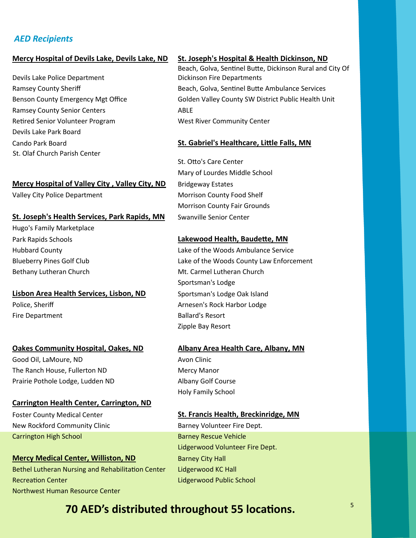#### *AED Recipients*

#### Mercy Hospital of Devils Lake, Devils Lake, ND St. Joseph's Hospital & Health Dickinson, ND

Devils Lake Police Department Ramsey County Senior Centers **ABLE** Retired Senior Volunteer Program West River Community Center Devils Lake Park Board St. Olaf Church Parish Center

#### **Mercy Hospital of Valley City, Valley City, ND** Bridgeway Estates

#### St. Joseph's Health Services, Park Rapids, MN Swanville Senior Center

Hugo's Family Marketplace

#### Lisbon Area Health Services, Lisbon, ND Sportsman's Lodge Oak Island

#### **Oakes Community Hospital, Oakes, ND Albany Area Health Care, Albany, MN**

Good Oil, LaMoure, ND Avon Clinic The Ranch House, Fullerton ND Mercy Manor Prairie Pothole Lodge, Ludden ND Albany Golf Course

#### **Carrington Health Center, Carrington, ND**

New Rockford Community Clinic **Barney Volunteer Fire Dept.** Carrington High School Barney Rescue Vehicle

#### **Mercy Medical Center, Williston, ND Barney City Hall** Bethel Lutheran Nursing and Rehabilitation Center Lidgerwood KC Hall Recreation Center Lidgerwood Public School Northwest Human Resource Center

Beach, Golva, Sentinel Butte, Dickinson Rural and City Of Dickinson Fire Departments Ramsey County Sheriff **Beach, Golva, Sentinel Butte Ambulance Services** Benson County Emergency Mgt Office Golden Valley County SW District Public Health Unit

#### Cando Park Board **St. Gabriel's Healthcare, Little Falls, MN**

St. Otto's Care Center Mary of Lourdes Middle School Valley City Police Department Morrison County Food Shelf Morrison County Fair Grounds

#### Park Rapids Schools **Lakewood Health, Baudette, MN**

Hubbard County Lake of the Woods Ambulance Service Blueberry Pines Golf Club Lake of the Woods County Law Enforcement Bethany Lutheran Church Mt. Carmel Lutheran Church Sportsman's Lodge Police, Sheriff **Arnesen's Rock Harbor Lodge** Arnesen's Rock Harbor Lodge Fire Department **Ballard's Resort** Zipple Bay Resort

Holy Family School

#### Foster County Medical Center **St. Francis Health, Breckinridge, MN**

Lidgerwood Volunteer Fire Dept.

### **70 AED's distributed throughout 55 locations.**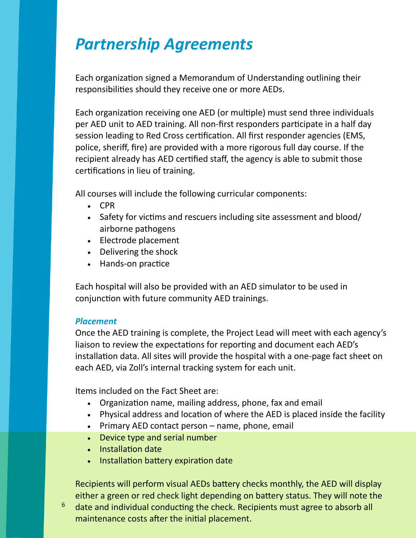### *Partnership Agreements*

Each organization signed a Memorandum of Understanding outlining their responsibilities should they receive one or more AEDs.

Each organization receiving one AED (or multiple) must send three individuals per AED unit to AED training. All non-first responders participate in a half day session leading to Red Cross certification. All first responder agencies (EMS, police, sheriff, fire) are provided with a more rigorous full day course. If the recipient already has AED certified staff, the agency is able to submit those certifications in lieu of training.

All courses will include the following curricular components:

- CPR
- Safety for victims and rescuers including site assessment and blood/ airborne pathogens
- Electrode placement
- Delivering the shock
- Hands-on practice

Each hospital will also be provided with an AED simulator to be used in conjunction with future community AED trainings.

#### *Placement*

6

Once the AED training is complete, the Project Lead will meet with each agency's liaison to review the expectations for reporting and document each AED's installation data. All sites will provide the hospital with a one-page fact sheet on each AED, via Zoll's internal tracking system for each unit.

Items included on the Fact Sheet are:

- Organization name, mailing address, phone, fax and email
- Physical address and location of where the AED is placed inside the facility
- $\bullet$  Primary AED contact person name, phone, email
- Device type and serial number
- Installation date
- Installation battery expiration date

Recipients will perform visual AEDs battery checks monthly, the AED will display either a green or red check light depending on battery status. They will note the date and individual conducting the check. Recipients must agree to absorb all maintenance costs after the initial placement.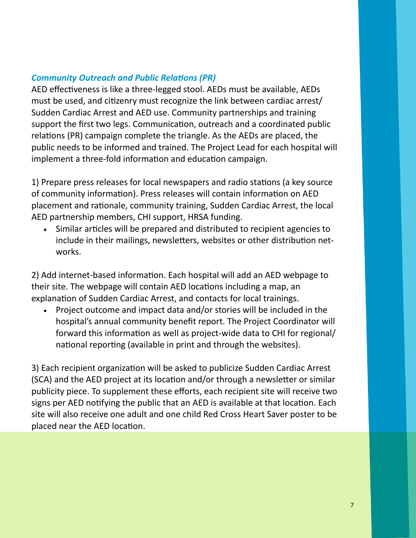### *Community Outreach and Public Relations (PR)*

AED effectiveness is like a three-legged stool. AEDs must be available, AEDs must be used, and citizenry must recognize the link between cardiac arrest/ Sudden Cardiac Arrest and AED use. Community partnerships and training support the first two legs. Communication, outreach and a coordinated public relations (PR) campaign complete the triangle. As the AEDs are placed, the public needs to be informed and trained. The Project Lead for each hospital will implement a three-fold information and education campaign.

1) Prepare press releases for local newspapers and radio stations (a key source of community information). Press releases will contain information on AED placement and rationale, community training, Sudden Cardiac Arrest, the local AED partnership members, CHI support, HRSA funding.

 Similar articles will be prepared and distributed to recipient agencies to include in their mailings, newsletters, websites or other distribution networks.

2) Add internet-based information. Each hospital will add an AED webpage to their site. The webpage will contain AED locations including a map, an explanation of Sudden Cardiac Arrest, and contacts for local trainings.

 Project outcome and impact data and/or stories will be included in the hospital's annual community benefit report. The Project Coordinator will forward this information as well as project-wide data to CHI for regional/ national reporting (available in print and through the websites).

3) Each recipient organization will be asked to publicize Sudden Cardiac Arrest (SCA) and the AED project at its location and/or through a newsletter or similar publicity piece. To supplement these efforts, each recipient site will receive two signs per AED notifying the public that an AED is available at that location. Each site will also receive one adult and one child Red Cross Heart Saver poster to be placed near the AED location.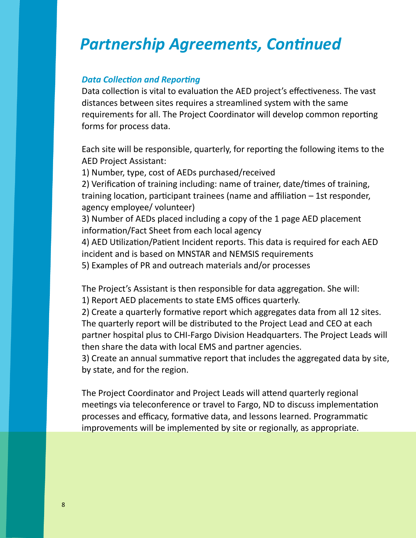### *Partnership Agreements, Continued*

#### *Data Collection and Reporting*

Data collection is vital to evaluation the AED project's effectiveness. The vast distances between sites requires a streamlined system with the same requirements for all. The Project Coordinator will develop common reporting forms for process data.

Each site will be responsible, quarterly, for reporting the following items to the AED Project Assistant:

1) Number, type, cost of AEDs purchased/received

2) Verification of training including: name of trainer, date/times of training, training location, participant trainees (name and affiliation – 1st responder, agency employee/ volunteer)

3) Number of AEDs placed including a copy of the 1 page AED placement information/Fact Sheet from each local agency

4) AED Utilization/Patient Incident reports. This data is required for each AED incident and is based on MNSTAR and NEMSIS requirements

5) Examples of PR and outreach materials and/or processes

The Project's Assistant is then responsible for data aggregation. She will: 1) Report AED placements to state EMS offices quarterly.

2) Create a quarterly formative report which aggregates data from all 12 sites. The quarterly report will be distributed to the Project Lead and CEO at each partner hospital plus to CHI-Fargo Division Headquarters. The Project Leads will then share the data with local EMS and partner agencies.

3) Create an annual summative report that includes the aggregated data by site, by state, and for the region.

The Project Coordinator and Project Leads will attend quarterly regional meetings via teleconference or travel to Fargo, ND to discuss implementation processes and efficacy, formative data, and lessons learned. Programmatic improvements will be implemented by site or regionally, as appropriate.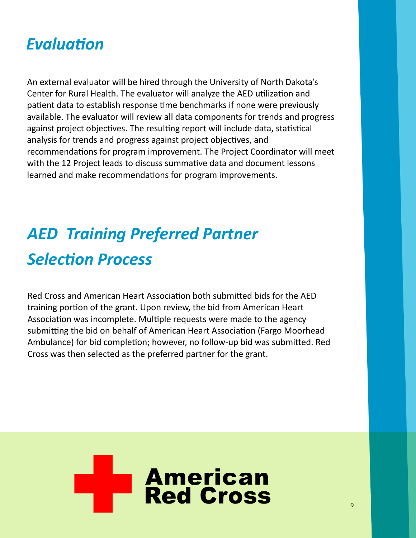### *Evaluation*

An external evaluator will be hired through the University of North Dakota's Center for Rural Health. The evaluator will analyze the AED utilization and patient data to establish response time benchmarks if none were previously available. The evaluator will review all data components for trends and progress against project objectives. The resulting report will include data, statistical analysis for trends and progress against project objectives, and recommendations for program improvement. The Project Coordinator will meet with the 12 Project leads to discuss summative data and document lessons learned and make recommendations for program improvements.

## *AED Training Preferred Partner Selection Process*

Red Cross and American Heart Association both submitted bids for the AED training portion of the grant. Upon review, the bid from American Heart Association was incomplete. Multiple requests were made to the agency submitting the bid on behalf of American Heart Association (Fargo Moorhead Ambulance) for bid completion; however, no follow-up bid was submitted. Red Cross was then selected as the preferred partner for the grant.

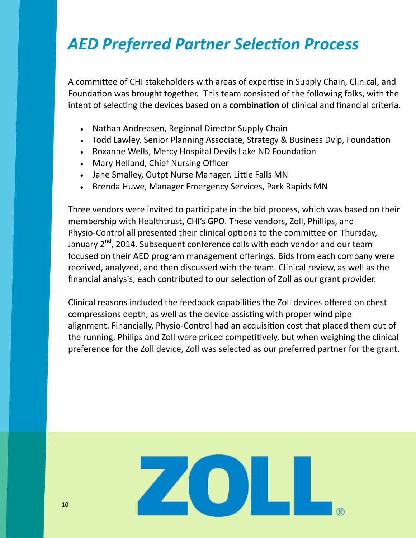### *AED Preferred Partner Selection Process*

A committee of CHI stakeholders with areas of expertise in Supply Chain, Clinical, and Foundation was brought together. This team consisted of the following folks, with the intent of selecting the devices based on a **combination** of clinical and financial criteria.

- Nathan Andreasen, Regional Director Supply Chain
- Todd Lawley, Senior Planning Associate, Strategy & Business Dvlp, Foundation
- Roxanne Wells, Mercy Hospital Devils Lake ND Foundation
- Mary Helland, Chief Nursing Officer
- Jane Smalley, Outpt Nurse Manager, Little Falls MN
- Brenda Huwe, Manager Emergency Services, Park Rapids MN

Three vendors were invited to participate in the bid process, which was based on their membership with Healthtrust, CHI's GPO. These vendors, Zoll, Phillips, and Physio-Control all presented their clinical options to the committee on Thursday, January 2<sup>nd</sup>, 2014. Subsequent conference calls with each vendor and our team focused on their AED program management offerings. Bids from each company were received, analyzed, and then discussed with the team. Clinical review, as well as the financial analysis, each contributed to our selection of Zoll as our grant provider.

Clinical reasons included the feedback capabilities the Zoll devices offered on chest compressions depth, as well as the device assisting with proper wind pipe alignment. Financially, Physio-Control had an acquisition cost that placed them out of the running. Philips and Zoll were priced competitively, but when weighing the clinical preference for the Zoll device, Zoll was selected as our preferred partner for the grant.

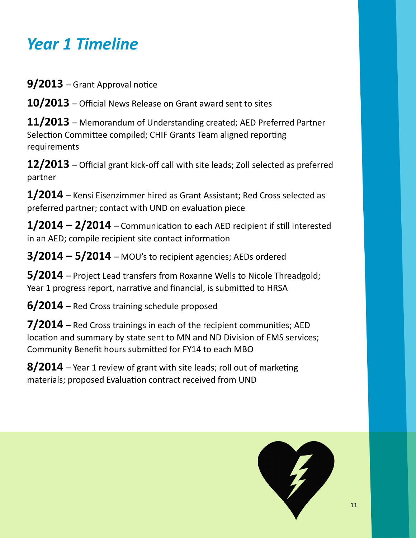### *Year 1 Timeline*

**9/2013** – Grant Approval notice

**10/2013** – Official News Release on Grant award sent to sites

**11/2013** – Memorandum of Understanding created; AED Preferred Partner Selection Committee compiled; CHIF Grants Team aligned reporting requirements

**12/2013** – Official grant kick-off call with site leads; Zoll selected as preferred partner

**1/2014** – Kensi Eisenzimmer hired as Grant Assistant; Red Cross selected as preferred partner; contact with UND on evaluation piece

**1/2014 – 2/2014** – Communication to each AED recipient if still interested in an AED; compile recipient site contact information

**3/2014 – 5/2014** – MOU's to recipient agencies; AEDs ordered

**5/2014** – Project Lead transfers from Roxanne Wells to Nicole Threadgold; Year 1 progress report, narrative and financial, is submitted to HRSA

**6/2014** – Red Cross training schedule proposed

**7/2014** – Red Cross trainings in each of the recipient communities; AED location and summary by state sent to MN and ND Division of EMS services; Community Benefit hours submitted for FY14 to each MBO

**8/2014** – Year 1 review of grant with site leads; roll out of marketing materials; proposed Evaluation contract received from UND

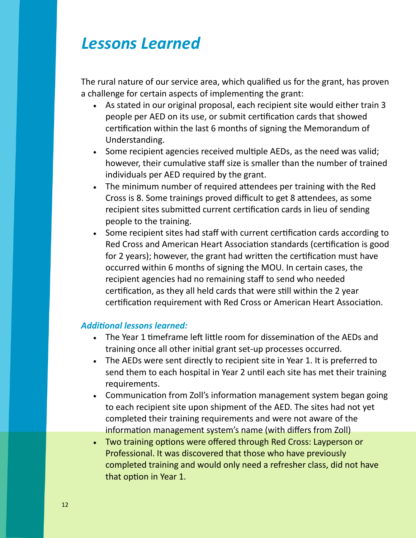### *Lessons Learned*

The rural nature of our service area, which qualified us for the grant, has proven a challenge for certain aspects of implementing the grant:

- As stated in our original proposal, each recipient site would either train 3 people per AED on its use, or submit certification cards that showed certification within the last 6 months of signing the Memorandum of Understanding.
- Some recipient agencies received multiple AEDs, as the need was valid; however, their cumulative staff size is smaller than the number of trained individuals per AED required by the grant.
- The minimum number of required attendees per training with the Red Cross is 8. Some trainings proved difficult to get 8 attendees, as some recipient sites submitted current certification cards in lieu of sending people to the training.
- Some recipient sites had staff with current certification cards according to Red Cross and American Heart Association standards (certification is good for 2 years); however, the grant had written the certification must have occurred within 6 months of signing the MOU. In certain cases, the recipient agencies had no remaining staff to send who needed certification, as they all held cards that were still within the 2 year certification requirement with Red Cross or American Heart Association.

#### *Additional lessons learned:*

- The Year 1 timeframe left little room for dissemination of the AEDs and training once all other initial grant set-up processes occurred.
- The AEDs were sent directly to recipient site in Year 1. It is preferred to send them to each hospital in Year 2 until each site has met their training requirements.
- Communication from Zoll's information management system began going to each recipient site upon shipment of the AED. The sites had not yet completed their training requirements and were not aware of the information management system's name (with differs from Zoll)
- Two training options were offered through Red Cross: Layperson or Professional. It was discovered that those who have previously completed training and would only need a refresher class, did not have that option in Year 1.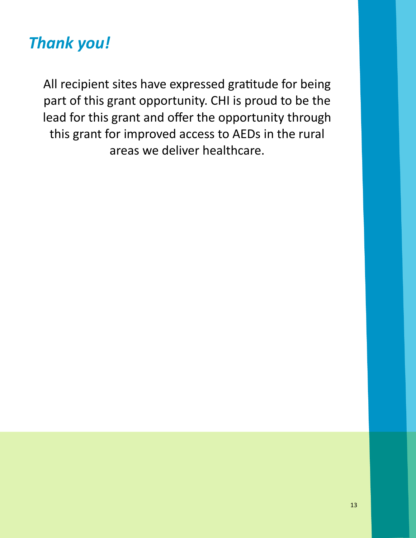### *Thank you!*

All recipient sites have expressed gratitude for being part of this grant opportunity. CHI is proud to be the lead for this grant and offer the opportunity through this grant for improved access to AEDs in the rural areas we deliver healthcare.